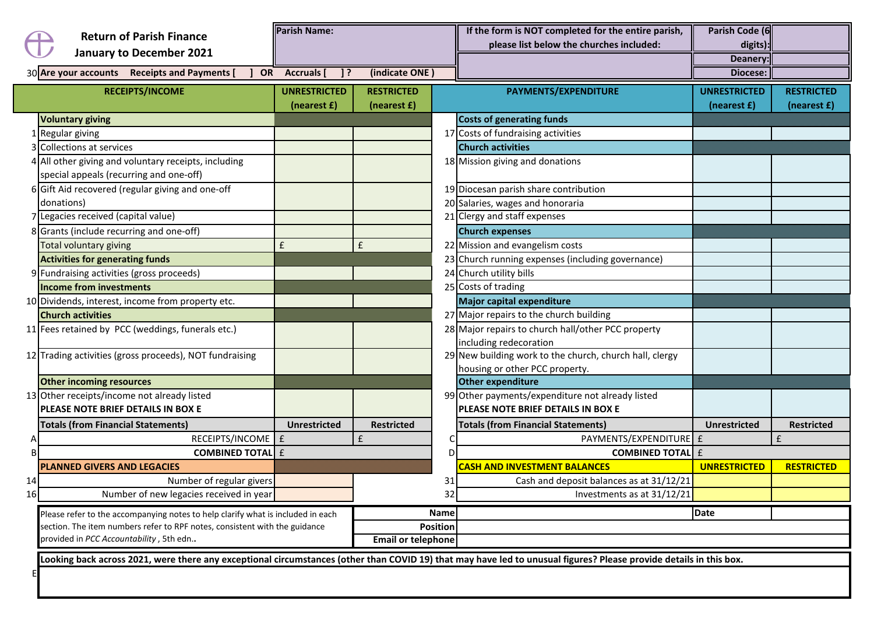|    | <b>Return of Parish Finance</b>                                                                                       | <b>Parish Name:</b> |                           |                 | If the form is NOT completed for the entire parish,<br>please list below the churches included:                                                                    | Parish Code (6<br>digits): |                   |
|----|-----------------------------------------------------------------------------------------------------------------------|---------------------|---------------------------|-----------------|--------------------------------------------------------------------------------------------------------------------------------------------------------------------|----------------------------|-------------------|
|    | <b>January to December 2021</b>                                                                                       |                     |                           |                 |                                                                                                                                                                    | Deanery:                   |                   |
|    | 30 Are your accounts Receipts and Payments [                                                                          | OR Accruals<br>-13  | (indicate ONE)            |                 |                                                                                                                                                                    | Diocese:                   |                   |
|    | <b>RECEIPTS/INCOME</b>                                                                                                | <b>UNRESTRICTED</b> | <b>RESTRICTED</b>         |                 | PAYMENTS/EXPENDITURE                                                                                                                                               | <b>UNRESTRICTED</b>        | <b>RESTRICTED</b> |
|    |                                                                                                                       | (nearest £)         | (nearest f)               |                 |                                                                                                                                                                    | (nearest f)                | (nearest £)       |
|    | <b>Voluntary giving</b>                                                                                               |                     |                           |                 | <b>Costs of generating funds</b>                                                                                                                                   |                            |                   |
|    | LRegular giving                                                                                                       |                     |                           |                 | 17 Costs of fundraising activities                                                                                                                                 |                            |                   |
|    | <b>Collections at services</b>                                                                                        |                     |                           |                 | <b>Church activities</b>                                                                                                                                           |                            |                   |
|    | All other giving and voluntary receipts, including                                                                    |                     |                           |                 | 18 Mission giving and donations                                                                                                                                    |                            |                   |
|    | special appeals (recurring and one-off)                                                                               |                     |                           |                 |                                                                                                                                                                    |                            |                   |
|    | 6 Gift Aid recovered (regular giving and one-off                                                                      |                     |                           |                 | 19 Diocesan parish share contribution                                                                                                                              |                            |                   |
|    | donations)                                                                                                            |                     |                           |                 | 20 Salaries, wages and honoraria                                                                                                                                   |                            |                   |
|    | Legacies received (capital value)                                                                                     |                     |                           |                 | 21 Clergy and staff expenses                                                                                                                                       |                            |                   |
|    | 8 Grants (include recurring and one-off)                                                                              |                     |                           |                 | <b>Church expenses</b>                                                                                                                                             |                            |                   |
|    | Total voluntary giving                                                                                                | £                   | £                         |                 | 22 Mission and evangelism costs                                                                                                                                    |                            |                   |
|    | <b>Activities for generating funds</b>                                                                                |                     |                           |                 | 23 Church running expenses (including governance)                                                                                                                  |                            |                   |
|    | 9 Fundraising activities (gross proceeds)                                                                             |                     |                           |                 | 24 Church utility bills                                                                                                                                            |                            |                   |
|    | <b>Income from investments</b>                                                                                        |                     |                           |                 | 25 Costs of trading                                                                                                                                                |                            |                   |
|    | 10 Dividends, interest, income from property etc.                                                                     |                     |                           |                 | <b>Major capital expenditure</b>                                                                                                                                   |                            |                   |
|    | <b>Church activities</b>                                                                                              |                     |                           |                 | 27 Major repairs to the church building                                                                                                                            |                            |                   |
|    | 11 Fees retained by PCC (weddings, funerals etc.)                                                                     |                     |                           |                 | 28 Major repairs to church hall/other PCC property                                                                                                                 |                            |                   |
|    |                                                                                                                       |                     |                           |                 | including redecoration                                                                                                                                             |                            |                   |
|    | 12 Trading activities (gross proceeds), NOT fundraising                                                               |                     |                           |                 | 29 New building work to the church, church hall, clergy                                                                                                            |                            |                   |
|    |                                                                                                                       |                     |                           |                 | housing or other PCC property.                                                                                                                                     |                            |                   |
|    | <b>Other incoming resources</b>                                                                                       |                     |                           |                 | Other expenditure                                                                                                                                                  |                            |                   |
|    | 13 Other receipts/income not already listed                                                                           |                     |                           |                 | 99 Other payments/expenditure not already listed                                                                                                                   |                            |                   |
|    | PLEASE NOTE BRIEF DETAILS IN BOX E                                                                                    |                     |                           |                 | PLEASE NOTE BRIEF DETAILS IN BOX E                                                                                                                                 |                            |                   |
|    | <b>Totals (from Financial Statements)</b>                                                                             | <b>Unrestricted</b> | <b>Restricted</b>         |                 | <b>Totals (from Financial Statements)</b>                                                                                                                          | <b>Unrestricted</b>        | <b>Restricted</b> |
|    | RECEIPTS/INCOME                                                                                                       | $\pmb{\mathsf{f}}$  | £                         | C               | PAYMENTS/EXPENDITURE E                                                                                                                                             |                            | £                 |
|    | <b>COMBINED TOTAL</b> E                                                                                               |                     |                           | D               | <b>COMBINED TOTAL</b> E                                                                                                                                            |                            |                   |
|    | <b>PLANNED GIVERS AND LEGACIES</b>                                                                                    |                     |                           |                 | <b>CASH AND INVESTMENT BALANCES</b>                                                                                                                                | <b>UNRESTRICTED</b>        | <b>RESTRICTED</b> |
| 14 | Number of regular givers                                                                                              |                     |                           | 31              | Cash and deposit balances as at 31/12/21                                                                                                                           |                            |                   |
| 16 | Number of new legacies received in year                                                                               |                     |                           | 32              | Investments as at 31/12/21                                                                                                                                         |                            |                   |
|    | Please refer to the accompanying notes to help clarify what is included in each                                       |                     |                           | <b>Name</b>     |                                                                                                                                                                    | <b>Date</b>                |                   |
|    | section. The item numbers refer to RPF notes, consistent with the guidance<br>provided in PCC Accountability, 5th edn |                     |                           | <b>Position</b> |                                                                                                                                                                    |                            |                   |
|    |                                                                                                                       |                     | <b>Email or telephone</b> |                 |                                                                                                                                                                    |                            |                   |
|    |                                                                                                                       |                     |                           |                 | Looking back across 2021, were there any exceptional circumstances (other than COVID 19) that may have led to unusual figures? Please provide details in this box. |                            |                   |
|    |                                                                                                                       |                     |                           |                 |                                                                                                                                                                    |                            |                   |
|    |                                                                                                                       |                     |                           |                 |                                                                                                                                                                    |                            |                   |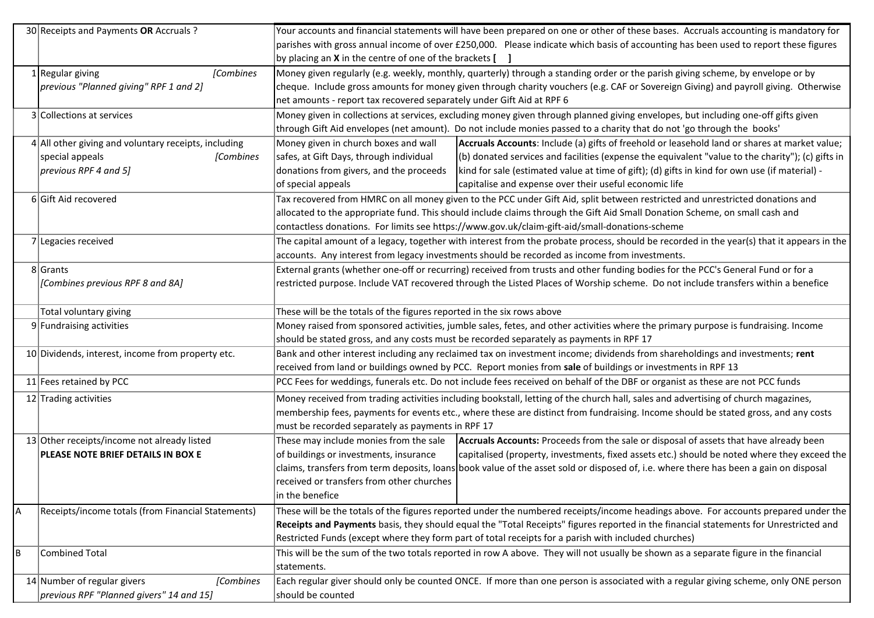|   | 30 Receipts and Payments OR Accruals ?                 | Your accounts and financial statements will have been prepared on one or other of these bases. Accruals accounting is mandatory for          |  |  |
|---|--------------------------------------------------------|----------------------------------------------------------------------------------------------------------------------------------------------|--|--|
|   |                                                        | parishes with gross annual income of over £250,000. Please indicate which basis of accounting has been used to report these figures          |  |  |
|   |                                                        | by placing an <b>X</b> in the centre of one of the brackets [ ]                                                                              |  |  |
|   | 1 Regular giving<br>[Combines                          | Money given regularly (e.g. weekly, monthly, quarterly) through a standing order or the parish giving scheme, by envelope or by              |  |  |
|   | previous "Planned giving" RPF 1 and 2]                 | cheque. Include gross amounts for money given through charity vouchers (e.g. CAF or Sovereign Giving) and payroll giving. Otherwise          |  |  |
|   |                                                        | net amounts - report tax recovered separately under Gift Aid at RPF 6                                                                        |  |  |
|   | 3 Collections at services                              | Money given in collections at services, excluding money given through planned giving envelopes, but including one-off gifts given            |  |  |
|   |                                                        | through Gift Aid envelopes (net amount). Do not include monies passed to a charity that do not 'go through the books'                        |  |  |
|   | $4$ All other giving and voluntary receipts, including | Money given in church boxes and wall<br>Accruals Accounts: Include (a) gifts of freehold or leasehold land or shares at market value;        |  |  |
|   | special appeals<br>[Combines                           | safes, at Gift Days, through individual<br>(b) donated services and facilities (expense the equivalent "value to the charity"); (c) gifts in |  |  |
|   | previous RPF 4 and 5]                                  | donations from givers, and the proceeds<br>kind for sale (estimated value at time of gift); (d) gifts in kind for own use (if material) -    |  |  |
|   |                                                        | of special appeals<br>capitalise and expense over their useful economic life                                                                 |  |  |
|   | 6 Gift Aid recovered                                   | Tax recovered from HMRC on all money given to the PCC under Gift Aid, split between restricted and unrestricted donations and                |  |  |
|   |                                                        | allocated to the appropriate fund. This should include claims through the Gift Aid Small Donation Scheme, on small cash and                  |  |  |
|   |                                                        | contactless donations. For limits see https://www.gov.uk/claim-gift-aid/small-donations-scheme                                               |  |  |
|   | 7 Legacies received                                    | The capital amount of a legacy, together with interest from the probate process, should be recorded in the year(s) that it appears in the    |  |  |
|   |                                                        | accounts. Any interest from legacy investments should be recorded as income from investments.                                                |  |  |
|   | 8 Grants                                               | External grants (whether one-off or recurring) received from trusts and other funding bodies for the PCC's General Fund or for a             |  |  |
|   | [Combines previous RPF 8 and 8A]                       | restricted purpose. Include VAT recovered through the Listed Places of Worship scheme. Do not include transfers within a benefice            |  |  |
|   |                                                        |                                                                                                                                              |  |  |
|   | Total voluntary giving                                 | These will be the totals of the figures reported in the six rows above                                                                       |  |  |
|   | $9$ Fundraising activities                             | Money raised from sponsored activities, jumble sales, fetes, and other activities where the primary purpose is fundraising. Income           |  |  |
|   |                                                        | should be stated gross, and any costs must be recorded separately as payments in RPF 17                                                      |  |  |
|   | 10 Dividends, interest, income from property etc.      | Bank and other interest including any reclaimed tax on investment income; dividends from shareholdings and investments; rent                 |  |  |
|   |                                                        | received from land or buildings owned by PCC. Report monies from sale of buildings or investments in RPF 13                                  |  |  |
|   | 11 Fees retained by PCC                                | PCC Fees for weddings, funerals etc. Do not include fees received on behalf of the DBF or organist as these are not PCC funds                |  |  |
|   | 12 Trading activities                                  | Money received from trading activities including bookstall, letting of the church hall, sales and advertising of church magazines,           |  |  |
|   |                                                        | membership fees, payments for events etc., where these are distinct from fundraising. Income should be stated gross, and any costs           |  |  |
|   |                                                        | must be recorded separately as payments in RPF 17                                                                                            |  |  |
|   | 13 Other receipts/income not already listed            | These may include monies from the sale<br>Accruals Accounts: Proceeds from the sale or disposal of assets that have already been             |  |  |
|   | PLEASE NOTE BRIEF DETAILS IN BOX E                     | of buildings or investments, insurance<br>capitalised (property, investments, fixed assets etc.) should be noted where they exceed the       |  |  |
|   |                                                        | claims, transfers from term deposits, loans book value of the asset sold or disposed of, i.e. where there has been a gain on disposal        |  |  |
|   |                                                        | received or transfers from other churches                                                                                                    |  |  |
|   |                                                        | in the benefice                                                                                                                              |  |  |
| А | Receipts/income totals (from Financial Statements)     | These will be the totals of the figures reported under the numbered receipts/income headings above. For accounts prepared under the          |  |  |
|   |                                                        | Receipts and Payments basis, they should equal the "Total Receipts" figures reported in the financial statements for Unrestricted and        |  |  |
|   |                                                        | Restricted Funds (except where they form part of total receipts for a parish with included churches)                                         |  |  |
| В | <b>Combined Total</b>                                  | This will be the sum of the two totals reported in row A above. They will not usually be shown as a separate figure in the financial         |  |  |
|   |                                                        | statements.                                                                                                                                  |  |  |
|   | 14 Number of regular givers<br>[Combines               | Each regular giver should only be counted ONCE. If more than one person is associated with a regular giving scheme, only ONE person          |  |  |
|   | previous RPF "Planned givers" 14 and 15]               | should be counted                                                                                                                            |  |  |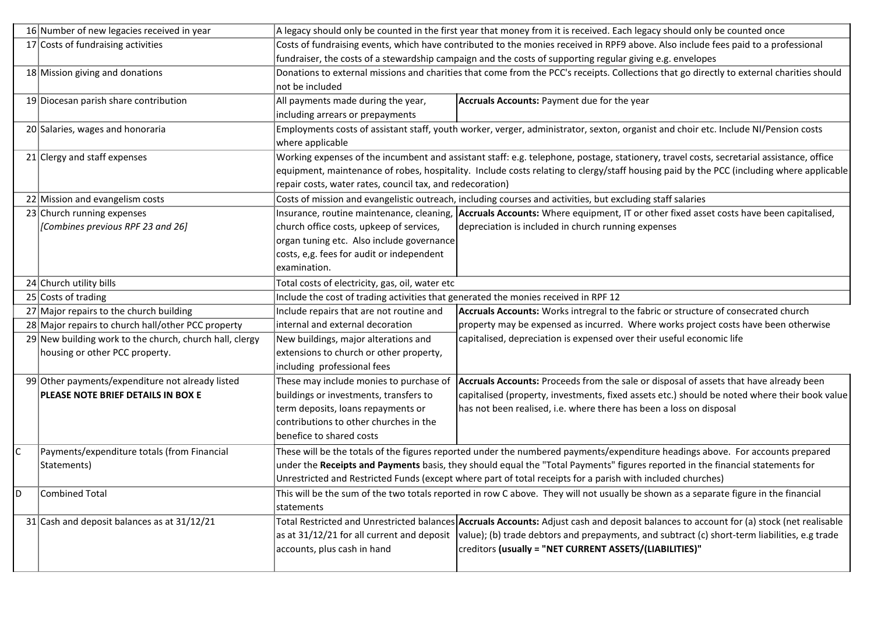|              | 16 Number of new legacies received in year              | A legacy should only be counted in the first year that money from it is received. Each legacy should only be counted once                 |                                                                                                                                     |  |
|--------------|---------------------------------------------------------|-------------------------------------------------------------------------------------------------------------------------------------------|-------------------------------------------------------------------------------------------------------------------------------------|--|
|              | 17 Costs of fundraising activities                      | Costs of fundraising events, which have contributed to the monies received in RPF9 above. Also include fees paid to a professional        |                                                                                                                                     |  |
|              |                                                         | fundraiser, the costs of a stewardship campaign and the costs of supporting regular giving e.g. envelopes                                 |                                                                                                                                     |  |
|              | 18 Mission giving and donations                         | Donations to external missions and charities that come from the PCC's receipts. Collections that go directly to external charities should |                                                                                                                                     |  |
|              |                                                         | not be included                                                                                                                           |                                                                                                                                     |  |
|              | 19 Diocesan parish share contribution                   | All payments made during the year,                                                                                                        | Accruals Accounts: Payment due for the year                                                                                         |  |
|              |                                                         | including arrears or prepayments                                                                                                          |                                                                                                                                     |  |
|              | 20 Salaries, wages and honoraria                        |                                                                                                                                           | Employments costs of assistant staff, youth worker, verger, administrator, sexton, organist and choir etc. Include NI/Pension costs |  |
|              |                                                         | where applicable                                                                                                                          |                                                                                                                                     |  |
|              | $21$ Clergy and staff expenses                          | Working expenses of the incumbent and assistant staff: e.g. telephone, postage, stationery, travel costs, secretarial assistance, office  |                                                                                                                                     |  |
|              |                                                         | equipment, maintenance of robes, hospitality. Include costs relating to clergy/staff housing paid by the PCC (including where applicable  |                                                                                                                                     |  |
|              |                                                         | repair costs, water rates, council tax, and redecoration)                                                                                 |                                                                                                                                     |  |
|              | 22 Mission and evangelism costs                         | Costs of mission and evangelistic outreach, including courses and activities, but excluding staff salaries                                |                                                                                                                                     |  |
|              | 23 Church running expenses                              |                                                                                                                                           | Insurance, routine maintenance, cleaning, Accruals Accounts: Where equipment, IT or other fixed asset costs have been capitalised,  |  |
|              | [Combines previous RPF 23 and 26]                       | church office costs, upkeep of services,                                                                                                  | depreciation is included in church running expenses                                                                                 |  |
|              |                                                         | organ tuning etc. Also include governance                                                                                                 |                                                                                                                                     |  |
|              |                                                         | costs, e,g. fees for audit or independent                                                                                                 |                                                                                                                                     |  |
|              |                                                         | examination.                                                                                                                              |                                                                                                                                     |  |
|              | 24 Church utility bills                                 | Total costs of electricity, gas, oil, water etc                                                                                           |                                                                                                                                     |  |
|              | 25 Costs of trading                                     | Include the cost of trading activities that generated the monies received in RPF 12                                                       |                                                                                                                                     |  |
|              | 27 Major repairs to the church building                 | Include repairs that are not routine and                                                                                                  | Accruals Accounts: Works intregral to the fabric or structure of consecrated church                                                 |  |
|              | 28 Major repairs to church hall/other PCC property      | internal and external decoration                                                                                                          | property may be expensed as incurred. Where works project costs have been otherwise                                                 |  |
|              | 29 New building work to the church, church hall, clergy | New buildings, major alterations and                                                                                                      | capitalised, depreciation is expensed over their useful economic life                                                               |  |
|              | housing or other PCC property.                          | extensions to church or other property,                                                                                                   |                                                                                                                                     |  |
|              |                                                         | including professional fees                                                                                                               |                                                                                                                                     |  |
|              | 99 Other payments/expenditure not already listed        | These may include monies to purchase of                                                                                                   | Accruals Accounts: Proceeds from the sale or disposal of assets that have already been                                              |  |
|              | PLEASE NOTE BRIEF DETAILS IN BOX E                      | buildings or investments, transfers to                                                                                                    | capitalised (property, investments, fixed assets etc.) should be noted where their book value                                       |  |
|              |                                                         | term deposits, loans repayments or                                                                                                        | has not been realised, i.e. where there has been a loss on disposal                                                                 |  |
|              |                                                         | contributions to other churches in the                                                                                                    |                                                                                                                                     |  |
|              |                                                         | benefice to shared costs                                                                                                                  |                                                                                                                                     |  |
| $\mathsf{C}$ | Payments/expenditure totals (from Financial             | These will be the totals of the figures reported under the numbered payments/expenditure headings above. For accounts prepared            |                                                                                                                                     |  |
|              | Statements)                                             | under the Receipts and Payments basis, they should equal the "Total Payments" figures reported in the financial statements for            |                                                                                                                                     |  |
|              |                                                         |                                                                                                                                           | Unrestricted and Restricted Funds (except where part of total receipts for a parish with included churches)                         |  |
| D            | Combined Total                                          | This will be the sum of the two totals reported in row C above. They will not usually be shown as a separate figure in the financial      |                                                                                                                                     |  |
|              |                                                         | statements                                                                                                                                |                                                                                                                                     |  |
|              | 31 Cash and deposit balances as at 31/12/21             | Total Restricted and Unrestricted balances Accruals Accounts: Adjust cash and deposit balances to account for (a) stock (net realisable   |                                                                                                                                     |  |
|              |                                                         | as at 31/12/21 for all current and deposit                                                                                                | value); (b) trade debtors and prepayments, and subtract (c) short-term liabilities, e.g trade                                       |  |
|              |                                                         | accounts, plus cash in hand                                                                                                               | creditors (usually = "NET CURRENT ASSETS/(LIABILITIES)"                                                                             |  |
|              |                                                         |                                                                                                                                           |                                                                                                                                     |  |